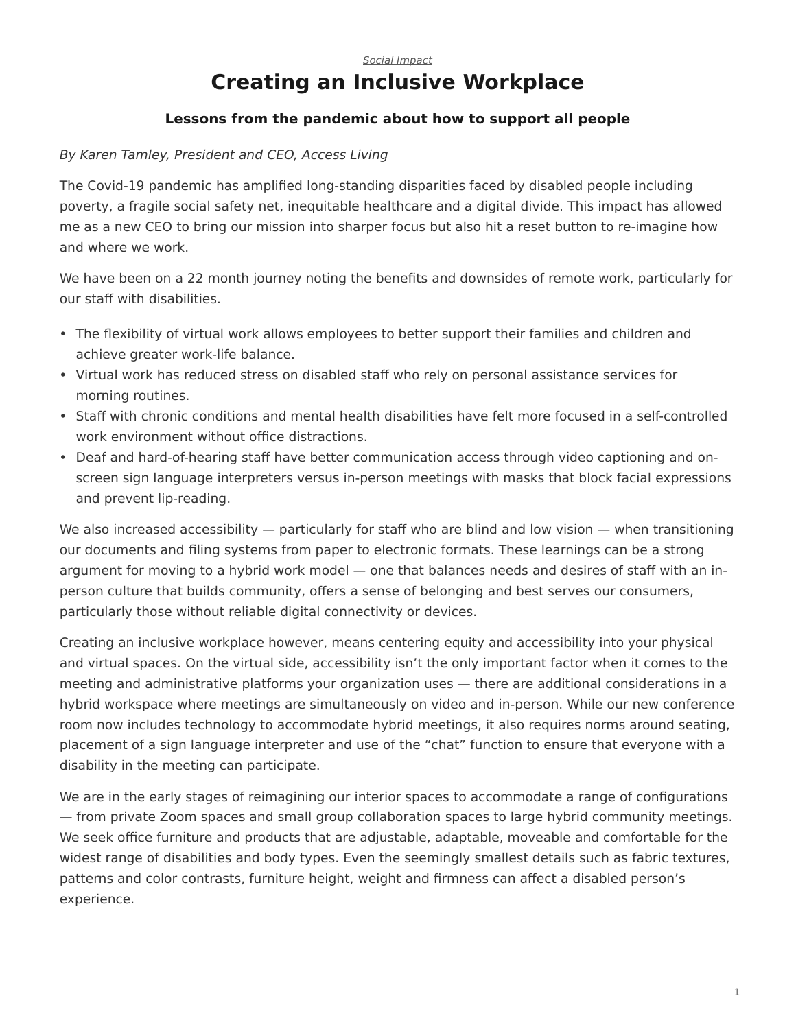## <span id="page-0-0"></span>[Social Impact](https://www.steelcase.com/research/topics/social-impact/) **Creating an Inclusive Workplace**

## **Lessons from the pandemic about how to support all people**

## By Karen Tamley, President and CEO, Access Living

The Covid-19 pandemic has amplified long-standing disparities faced by disabled people including poverty, a fragile social safety net, inequitable healthcare and a digital divide. This impact has allowed me as a new CEO to bring our mission into sharper focus but also hit a reset button to re-imagine how and where we work.

We have been on a 22 month journey noting the benefits and downsides of remote work, particularly for our staff with disabilities.

- The flexibility of virtual work allows employees to better support their families and children and achieve greater work-life balance.
- Virtual work has reduced stress on disabled staff who rely on personal assistance services for morning routines.
- Staff with chronic conditions and mental health disabilities have felt more focused in a self-controlled work environment without office distractions.
- Deaf and hard-of-hearing staff have better communication access through video captioning and onscreen sign language interpreters versus in-person meetings with masks that block facial expressions and prevent lip-reading.

We also increased accessibility — particularly for staff who are blind and low vision — when transitioning our documents and filing systems from paper to electronic formats. These learnings can be a strong argument for moving to a hybrid work model — one that balances needs and desires of staff with an inperson culture that builds community, offers a sense of belonging and best serves our consumers, particularly those without reliable digital connectivity or devices.

Creating an inclusive workplace however, means centering equity and accessibility into your physical and virtual spaces. On the virtual side, accessibility isn't the only important factor when it comes to the meeting and administrative platforms your organization uses — there are additional considerations in a hybrid workspace where meetings are simultaneously on video and in-person. While our new conference room now includes technology to accommodate hybrid meetings, it also requires norms around seating, placement of a sign language interpreter and use of the "chat" function to ensure that everyone with a disability in the meeting can participate.

We are in the early stages of reimagining our interior spaces to accommodate a range of configurations — from private Zoom spaces and small group collaboration spaces to large hybrid community meetings. We seek office furniture and products that are adjustable, adaptable, moveable and comfortable for the widest range of disabilities and body types. Even the seemingly smallest details such as fabric textures, patterns and color contrasts, furniture height, weight and firmness can affect a disabled person's experience.